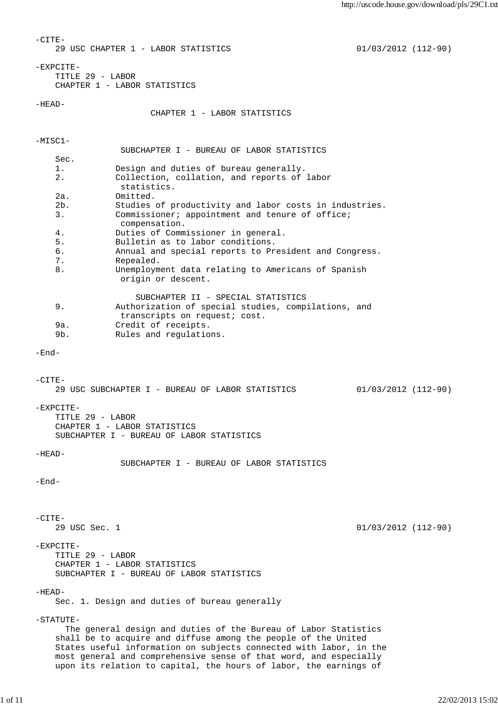```
-CTTE- 29 USC CHAPTER 1 - LABOR STATISTICS 01/03/2012 (112-90)
-EXPCITE-
    TITLE 29 - LABOR
    CHAPTER 1 - LABOR STATISTICS
-HEAD-
                      CHAPTER 1 - LABOR STATISTICS 
-MISC1-
                SUBCHAPTER I - BUREAU OF LABOR STATISTICS 
    Sec. 
    1. Design and duties of bureau generally. 
    2. Collection, collation, and reports of labor
                statistics. 
    2a. Omitted. 
    2b. Studies of productivity and labor costs in industries.
    3. Commissioner; appointment and tenure of office;
                compensation. 
    4. Duties of Commissioner in general. 
    5. Bulletin as to labor conditions. 
    6. Annual and special reports to President and Congress. 
    7. Repealed. 
    8. Unemployment data relating to Americans of Spanish
                origin or descent. 
                   SUBCHAPTER II - SPECIAL STATISTICS 
    9. Authorization of special studies, compilations, and
               transcripts on request; cost. 
    9a. Credit of receipts. 
    9b. Rules and regulations. 
-End-
-CITE-
    29 USC SUBCHAPTER I - BUREAU OF LABOR STATISTICS 01/03/2012 (112-90)
-EXPCITE-
    TITLE 29 - LABOR
    CHAPTER 1 - LABOR STATISTICS
    SUBCHAPTER I - BUREAU OF LABOR STATISTICS
-HEAD- SUBCHAPTER I - BUREAU OF LABOR STATISTICS 
-End-
-CTTF- 29 USC Sec. 1 01/03/2012 (112-90)
-EXPCITE-
    TITLE 29 - LABOR
    CHAPTER 1 - LABOR STATISTICS
    SUBCHAPTER I - BUREAU OF LABOR STATISTICS
-HEAD-
    Sec. 1. Design and duties of bureau generally
-STATUTE-
      The general design and duties of the Bureau of Labor Statistics
    shall be to acquire and diffuse among the people of the United
    States useful information on subjects connected with labor, in the
    most general and comprehensive sense of that word, and especially
    upon its relation to capital, the hours of labor, the earnings of
```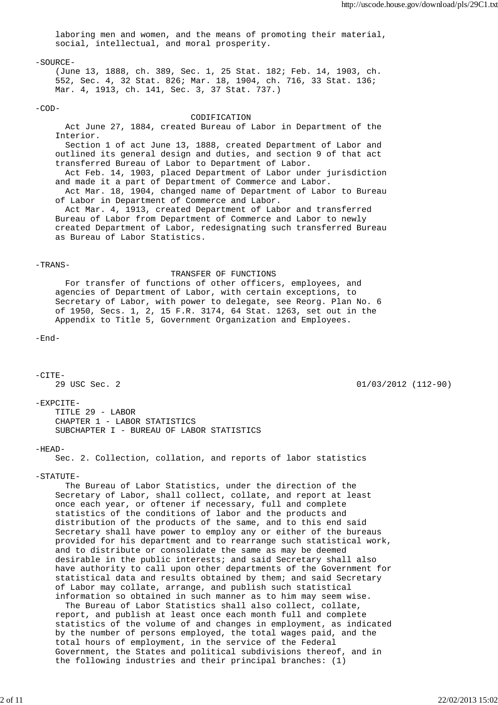laboring men and women, and the means of promoting their material, social, intellectual, and moral prosperity.

# $-SOURE-$

 (June 13, 1888, ch. 389, Sec. 1, 25 Stat. 182; Feb. 14, 1903, ch. 552, Sec. 4, 32 Stat. 826; Mar. 18, 1904, ch. 716, 33 Stat. 136; Mar. 4, 1913, ch. 141, Sec. 3, 37 Stat. 737.)

# $-COD-$

# CODIFICATION

 Act June 27, 1884, created Bureau of Labor in Department of the Interior. Section 1 of act June 13, 1888, created Department of Labor and outlined its general design and duties, and section 9 of that act transferred Bureau of Labor to Department of Labor. Act Feb. 14, 1903, placed Department of Labor under jurisdiction and made it a part of Department of Commerce and Labor. Act Mar. 18, 1904, changed name of Department of Labor to Bureau of Labor in Department of Commerce and Labor. Act Mar. 4, 1913, created Department of Labor and transferred Bureau of Labor from Department of Commerce and Labor to newly created Department of Labor, redesignating such transferred Bureau as Bureau of Labor Statistics.

### -TRANS-

 TRANSFER OF FUNCTIONS For transfer of functions of other officers, employees, and agencies of Department of Labor, with certain exceptions, to Secretary of Labor, with power to delegate, see Reorg. Plan No. 6 of 1950, Secs. 1, 2, 15 F.R. 3174, 64 Stat. 1263, set out in the Appendix to Title 5, Government Organization and Employees.

-End-

 $-CITE-$  29 USC Sec. 2 01/03/2012 (112-90) -EXPCITE- TITLE 29 - LABOR CHAPTER 1 - LABOR STATISTICS SUBCHAPTER I - BUREAU OF LABOR STATISTICS  $-HEAD-$  Sec. 2. Collection, collation, and reports of labor statistics -STATUTE- The Bureau of Labor Statistics, under the direction of the Secretary of Labor, shall collect, collate, and report at least once each year, or oftener if necessary, full and complete statistics of the conditions of labor and the products and distribution of the products of the same, and to this end said Secretary shall have power to employ any or either of the bureaus provided for his department and to rearrange such statistical work,

 and to distribute or consolidate the same as may be deemed desirable in the public interests; and said Secretary shall also have authority to call upon other departments of the Government for statistical data and results obtained by them; and said Secretary of Labor may collate, arrange, and publish such statistical information so obtained in such manner as to him may seem wise.

 The Bureau of Labor Statistics shall also collect, collate, report, and publish at least once each month full and complete statistics of the volume of and changes in employment, as indicated by the number of persons employed, the total wages paid, and the total hours of employment, in the service of the Federal Government, the States and political subdivisions thereof, and in the following industries and their principal branches: (1)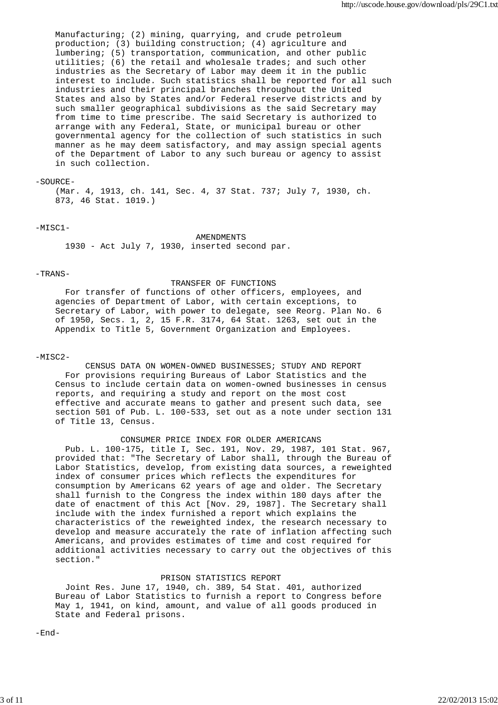Manufacturing; (2) mining, quarrying, and crude petroleum production; (3) building construction; (4) agriculture and lumbering; (5) transportation, communication, and other public utilities; (6) the retail and wholesale trades; and such other industries as the Secretary of Labor may deem it in the public interest to include. Such statistics shall be reported for all such industries and their principal branches throughout the United States and also by States and/or Federal reserve districts and by such smaller geographical subdivisions as the said Secretary may from time to time prescribe. The said Secretary is authorized to arrange with any Federal, State, or municipal bureau or other governmental agency for the collection of such statistics in such manner as he may deem satisfactory, and may assign special agents of the Department of Labor to any such bureau or agency to assist in such collection.

# $-SO$ URCE-

 (Mar. 4, 1913, ch. 141, Sec. 4, 37 Stat. 737; July 7, 1930, ch. 873, 46 Stat. 1019.)

## $-MISC1-$

 AMENDMENTS 1930 - Act July 7, 1930, inserted second par.

#### -TRANS-

 TRANSFER OF FUNCTIONS For transfer of functions of other officers, employees, and agencies of Department of Labor, with certain exceptions, to Secretary of Labor, with power to delegate, see Reorg. Plan No. 6 of 1950, Secs. 1, 2, 15 F.R. 3174, 64 Stat. 1263, set out in the Appendix to Title 5, Government Organization and Employees.

#### $-MISC2-$

 CENSUS DATA ON WOMEN-OWNED BUSINESSES; STUDY AND REPORT For provisions requiring Bureaus of Labor Statistics and the Census to include certain data on women-owned businesses in census reports, and requiring a study and report on the most cost effective and accurate means to gather and present such data, see section 501 of Pub. L. 100-533, set out as a note under section 131 of Title 13, Census.

 CONSUMER PRICE INDEX FOR OLDER AMERICANS Pub. L. 100-175, title I, Sec. 191, Nov. 29, 1987, 101 Stat. 967, provided that: "The Secretary of Labor shall, through the Bureau of Labor Statistics, develop, from existing data sources, a reweighted index of consumer prices which reflects the expenditures for consumption by Americans 62 years of age and older. The Secretary shall furnish to the Congress the index within 180 days after the date of enactment of this Act [Nov. 29, 1987]. The Secretary shall include with the index furnished a report which explains the characteristics of the reweighted index, the research necessary to develop and measure accurately the rate of inflation affecting such Americans, and provides estimates of time and cost required for additional activities necessary to carry out the objectives of this section."

## PRISON STATISTICS REPORT

 Joint Res. June 17, 1940, ch. 389, 54 Stat. 401, authorized Bureau of Labor Statistics to furnish a report to Congress before May 1, 1941, on kind, amount, and value of all goods produced in State and Federal prisons.

 $-$ End $-$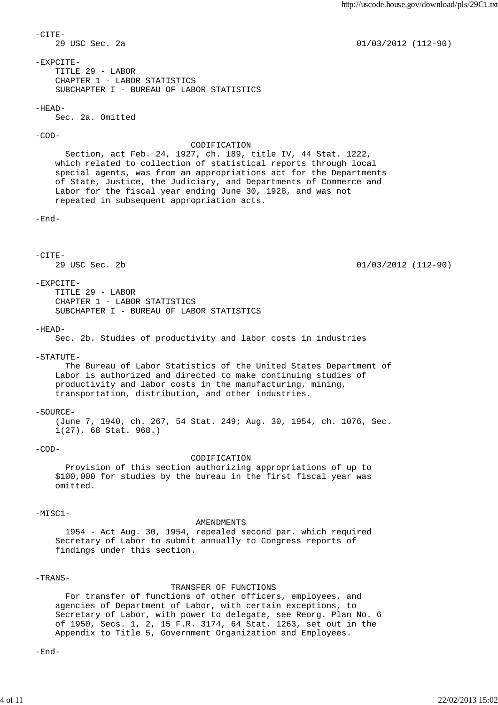$-CTTF-$  29 USC Sec. 2a 01/03/2012 (112-90)  $-$ EXPCITE $-$  TITLE 29 - LABOR CHAPTER 1 - LABOR STATISTICS SUBCHAPTER I - BUREAU OF LABOR STATISTICS -HEAD- Sec. 2a. Omitted -COD- CODIFICATION Section, act Feb. 24, 1927, ch. 189, title IV, 44 Stat. 1222, which related to collection of statistical reports through local special agents, was from an appropriations act for the Departments of State, Justice, the Judiciary, and Departments of Commerce and Labor for the fiscal year ending June 30, 1928, and was not repeated in subsequent appropriation acts. -End- -CITE- 29 USC Sec. 2b 01/03/2012 (112-90)  $-$ EXPCITE- TITLE 29 - LABOR CHAPTER 1 - LABOR STATISTICS SUBCHAPTER I - BUREAU OF LABOR STATISTICS -HEAD- Sec. 2b. Studies of productivity and labor costs in industries  $-STATUTR-$  The Bureau of Labor Statistics of the United States Department of Labor is authorized and directed to make continuing studies of productivity and labor costs in the manufacturing, mining, transportation, distribution, and other industries.  $-SOIIRCH -$  (June 7, 1940, ch. 267, 54 Stat. 249; Aug. 30, 1954, ch. 1076, Sec. 1(27), 68 Stat. 968.)  $-COD-$  CODIFICATION Provision of this section authorizing appropriations of up to \$100,000 for studies by the bureau in the first fiscal year was omitted. -MISC1- AMENDMENTS 1954 - Act Aug. 30, 1954, repealed second par. which required Secretary of Labor to submit annually to Congress reports of findings under this section. -TRANS- TRANSFER OF FUNCTIONS For transfer of functions of other officers, employees, and agencies of Department of Labor, with certain exceptions, to Secretary of Labor, with power to delegate, see Reorg. Plan No. 6 of 1950, Secs. 1, 2, 15 F.R. 3174, 64 Stat. 1263, set out in the Appendix to Title 5, Government Organization and Employees. -End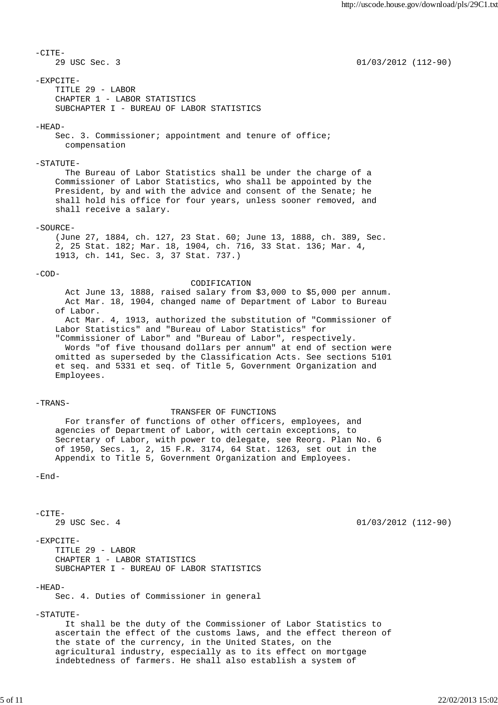$-CTTF-$  29 USC Sec. 3 01/03/2012 (112-90)  $-$ EXPCITE $-$  TITLE 29 - LABOR CHAPTER 1 - LABOR STATISTICS SUBCHAPTER I - BUREAU OF LABOR STATISTICS -HEAD- Sec. 3. Commissioner; appointment and tenure of office; compensation -STATUTE- The Bureau of Labor Statistics shall be under the charge of a Commissioner of Labor Statistics, who shall be appointed by the President, by and with the advice and consent of the Senate; he shall hold his office for four years, unless sooner removed, and shall receive a salary. -SOURCE- (June 27, 1884, ch. 127, 23 Stat. 60; June 13, 1888, ch. 389, Sec. 2, 25 Stat. 182; Mar. 18, 1904, ch. 716, 33 Stat. 136; Mar. 4, 1913, ch. 141, Sec. 3, 37 Stat. 737.)  $-$ COD $-$  CODIFICATION Act June 13, 1888, raised salary from \$3,000 to \$5,000 per annum. Act Mar. 18, 1904, changed name of Department of Labor to Bureau of Labor. Act Mar. 4, 1913, authorized the substitution of "Commissioner of Labor Statistics" and "Bureau of Labor Statistics" for "Commissioner of Labor" and "Bureau of Labor", respectively. Words "of five thousand dollars per annum" at end of section were omitted as superseded by the Classification Acts. See sections 5101 et seq. and 5331 et seq. of Title 5, Government Organization and Employees. -TRANS- TRANSFER OF FUNCTIONS For transfer of functions of other officers, employees, and agencies of Department of Labor, with certain exceptions, to Secretary of Labor, with power to delegate, see Reorg. Plan No. 6 of 1950, Secs. 1, 2, 15 F.R. 3174, 64 Stat. 1263, set out in the Appendix to Title 5, Government Organization and Employees. -End-  $-CTTF-$  29 USC Sec. 4 01/03/2012 (112-90) -EXPCITE-

 TITLE 29 - LABOR CHAPTER 1 - LABOR STATISTICS SUBCHAPTER I - BUREAU OF LABOR STATISTICS

## -HEAD-

Sec. 4. Duties of Commissioner in general

-STATUTE-

 It shall be the duty of the Commissioner of Labor Statistics to ascertain the effect of the customs laws, and the effect thereon of the state of the currency, in the United States, on the agricultural industry, especially as to its effect on mortgage indebtedness of farmers. He shall also establish a system of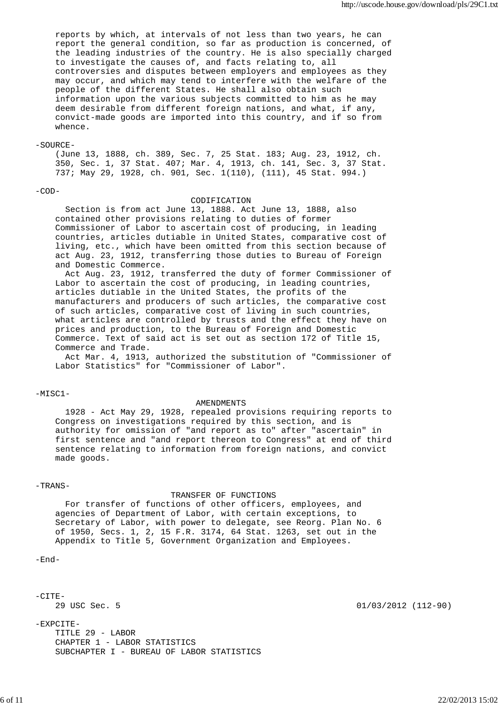reports by which, at intervals of not less than two years, he can report the general condition, so far as production is concerned, of the leading industries of the country. He is also specially charged to investigate the causes of, and facts relating to, all controversies and disputes between employers and employees as they may occur, and which may tend to interfere with the welfare of the people of the different States. He shall also obtain such information upon the various subjects committed to him as he may deem desirable from different foreign nations, and what, if any, convict-made goods are imported into this country, and if so from whence.

# -SOURCE-

 (June 13, 1888, ch. 389, Sec. 7, 25 Stat. 183; Aug. 23, 1912, ch. 350, Sec. 1, 37 Stat. 407; Mar. 4, 1913, ch. 141, Sec. 3, 37 Stat. 737; May 29, 1928, ch. 901, Sec. 1(110), (111), 45 Stat. 994.)

## -COD-

# CODIFICATION

 Section is from act June 13, 1888. Act June 13, 1888, also contained other provisions relating to duties of former Commissioner of Labor to ascertain cost of producing, in leading countries, articles dutiable in United States, comparative cost of living, etc., which have been omitted from this section because of act Aug. 23, 1912, transferring those duties to Bureau of Foreign and Domestic Commerce.

 Act Aug. 23, 1912, transferred the duty of former Commissioner of Labor to ascertain the cost of producing, in leading countries, articles dutiable in the United States, the profits of the manufacturers and producers of such articles, the comparative cost of such articles, comparative cost of living in such countries, what articles are controlled by trusts and the effect they have on prices and production, to the Bureau of Foreign and Domestic Commerce. Text of said act is set out as section 172 of Title 15, Commerce and Trade.

 Act Mar. 4, 1913, authorized the substitution of "Commissioner of Labor Statistics" for "Commissioner of Labor".

-MISC1-

#### AMENDMENTS

 1928 - Act May 29, 1928, repealed provisions requiring reports to Congress on investigations required by this section, and is authority for omission of "and report as to" after "ascertain" in first sentence and "and report thereon to Congress" at end of third sentence relating to information from foreign nations, and convict made goods.

### -TRANS-

### TRANSFER OF FUNCTIONS

 For transfer of functions of other officers, employees, and agencies of Department of Labor, with certain exceptions, to Secretary of Labor, with power to delegate, see Reorg. Plan No. 6 of 1950, Secs. 1, 2, 15 F.R. 3174, 64 Stat. 1263, set out in the Appendix to Title 5, Government Organization and Employees.

 $-$ End $-$ 

 $-CITE-$ 

-EXPCITE- TITLE 29 - LABOR CHAPTER 1 - LABOR STATISTICS SUBCHAPTER I - BUREAU OF LABOR STATISTICS

29 USC Sec. 5 01/03/2012 (112-90)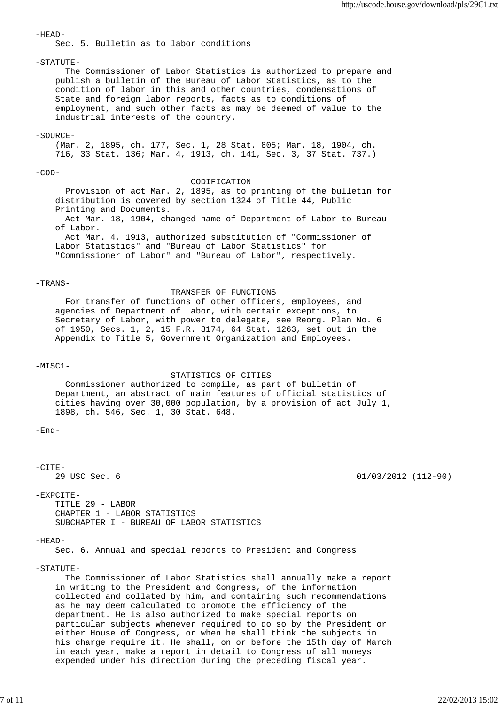$-HERAD-$  Sec. 5. Bulletin as to labor conditions  $-STATUTR-$  The Commissioner of Labor Statistics is authorized to prepare and publish a bulletin of the Bureau of Labor Statistics, as to the condition of labor in this and other countries, condensations of State and foreign labor reports, facts as to conditions of employment, and such other facts as may be deemed of value to the industrial interests of the country. -SOURCE- (Mar. 2, 1895, ch. 177, Sec. 1, 28 Stat. 805; Mar. 18, 1904, ch. 716, 33 Stat. 136; Mar. 4, 1913, ch. 141, Sec. 3, 37 Stat. 737.)  $-$ COD $-$  CODIFICATION Provision of act Mar. 2, 1895, as to printing of the bulletin for distribution is covered by section 1324 of Title 44, Public Printing and Documents. Act Mar. 18, 1904, changed name of Department of Labor to Bureau of Labor. Act Mar. 4, 1913, authorized substitution of "Commissioner of Labor Statistics" and "Bureau of Labor Statistics" for "Commissioner of Labor" and "Bureau of Labor", respectively. -TRANS- TRANSFER OF FUNCTIONS For transfer of functions of other officers, employees, and agencies of Department of Labor, with certain exceptions, to Secretary of Labor, with power to delegate, see Reorg. Plan No. 6 of 1950, Secs. 1, 2, 15 F.R. 3174, 64 Stat. 1263, set out in the Appendix to Title 5, Government Organization and Employees. -MISC1- STATISTICS OF CITIES Commissioner authorized to compile, as part of bulletin of Department, an abstract of main features of official statistics of cities having over 30,000 population, by a provision of act July 1, 1898, ch. 546, Sec. 1, 30 Stat. 648.  $-$ End $-CTTF-$  29 USC Sec. 6 01/03/2012 (112-90) -EXPCITE- TITLE 29 - LABOR CHAPTER 1 - LABOR STATISTICS SUBCHAPTER I - BUREAU OF LABOR STATISTICS  $-HEAD-$  Sec. 6. Annual and special reports to President and Congress -STATUTE- The Commissioner of Labor Statistics shall annually make a report in writing to the President and Congress, of the information collected and collated by him, and containing such recommendations as he may deem calculated to promote the efficiency of the department. He is also authorized to make special reports on particular subjects whenever required to do so by the President or either House of Congress, or when he shall think the subjects in

 his charge require it. He shall, on or before the 15th day of March in each year, make a report in detail to Congress of all moneys expended under his direction during the preceding fiscal year.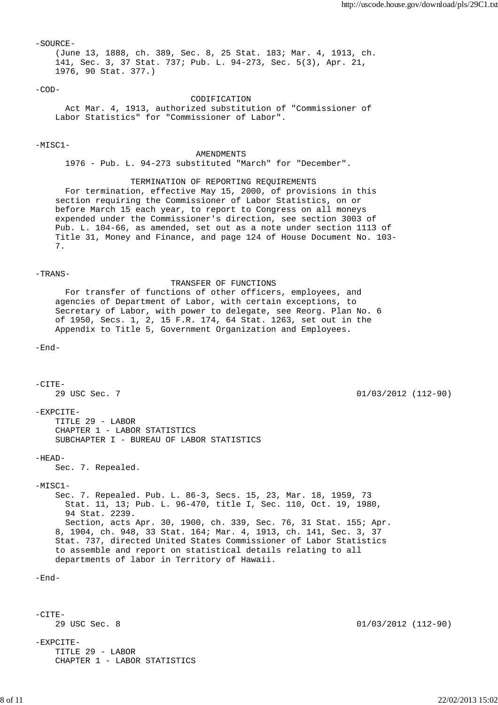-SOURCE- (June 13, 1888, ch. 389, Sec. 8, 25 Stat. 183; Mar. 4, 1913, ch. 141, Sec. 3, 37 Stat. 737; Pub. L. 94-273, Sec. 5(3), Apr. 21, 1976, 90 Stat. 377.)

 $-COD-$ 

 CODIFICATION Act Mar. 4, 1913, authorized substitution of "Commissioner of Labor Statistics" for "Commissioner of Labor".

## $-MTSC1-$

### AMENDMENTS

1976 - Pub. L. 94-273 substituted "March" for "December".

## TERMINATION OF REPORTING REQUIREMENTS

 For termination, effective May 15, 2000, of provisions in this section requiring the Commissioner of Labor Statistics, on or before March 15 each year, to report to Congress on all moneys expended under the Commissioner's direction, see section 3003 of Pub. L. 104-66, as amended, set out as a note under section 1113 of Title 31, Money and Finance, and page 124 of House Document No. 103- 7.

## -TRANS-

 TRANSFER OF FUNCTIONS For transfer of functions of other officers, employees, and agencies of Department of Labor, with certain exceptions, to Secretary of Labor, with power to delegate, see Reorg. Plan No. 6 of 1950, Secs. 1, 2, 15 F.R. 174, 64 Stat. 1263, set out in the Appendix to Title 5, Government Organization and Employees.

-End-

```
-CITE- 29 USC Sec. 7 01/03/2012 (112-90)
-EXPCITE-
    TITLE 29 - LABOR
    CHAPTER 1 - LABOR STATISTICS
    SUBCHAPTER I - BUREAU OF LABOR STATISTICS
-HEAD-
    Sec. 7. Repealed.
-MTSC1- Sec. 7. Repealed. Pub. L. 86-3, Secs. 15, 23, Mar. 18, 1959, 73
      Stat. 11, 13; Pub. L. 96-470, title I, Sec. 110, Oct. 19, 1980,
      94 Stat. 2239.
      Section, acts Apr. 30, 1900, ch. 339, Sec. 76, 31 Stat. 155; Apr.
    8, 1904, ch. 948, 33 Stat. 164; Mar. 4, 1913, ch. 141, Sec. 3, 37
    Stat. 737, directed United States Commissioner of Labor Statistics
    to assemble and report on statistical details relating to all
    departments of labor in Territory of Hawaii.
-End--CITE-
    29 USC Sec. 8 01/03/2012 (112-90)
-EXPCITE-
    TITLE 29 - LABOR
    CHAPTER 1 - LABOR STATISTICS
```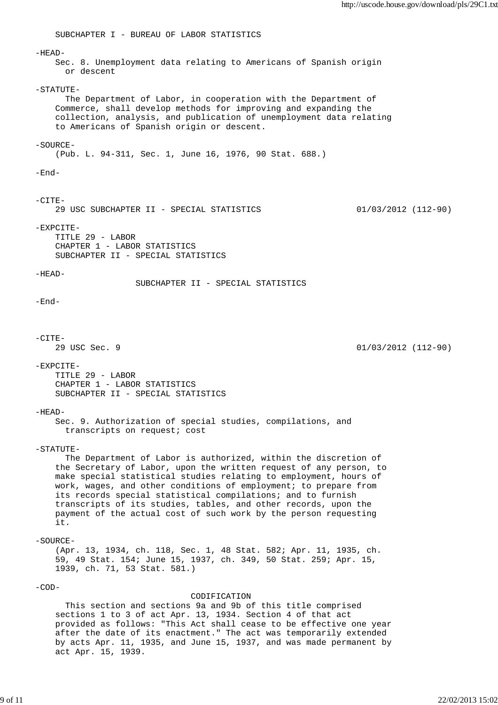SUBCHAPTER I - BUREAU OF LABOR STATISTICS  $-HEAD-$  Sec. 8. Unemployment data relating to Americans of Spanish origin or descent  $-STATUTR-$  The Department of Labor, in cooperation with the Department of Commerce, shall develop methods for improving and expanding the collection, analysis, and publication of unemployment data relating to Americans of Spanish origin or descent.  $-SOIIRCR-$  (Pub. L. 94-311, Sec. 1, June 16, 1976, 90 Stat. 688.) -End-  $-CTTR-$  29 USC SUBCHAPTER II - SPECIAL STATISTICS 01/03/2012 (112-90) -EXPCITE- TITLE 29 - LABOR CHAPTER 1 - LABOR STATISTICS SUBCHAPTER II - SPECIAL STATISTICS  $-HEAD-$  SUBCHAPTER II - SPECIAL STATISTICS  $-$ End $-CITE-$  29 USC Sec. 9 01/03/2012 (112-90) -EXPCITE- TITLE 29 - LABOR CHAPTER 1 - LABOR STATISTICS SUBCHAPTER II - SPECIAL STATISTICS  $-HEAD-$  Sec. 9. Authorization of special studies, compilations, and transcripts on request; cost -STATUTE- The Department of Labor is authorized, within the discretion of the Secretary of Labor, upon the written request of any person, to make special statistical studies relating to employment, hours of work, wages, and other conditions of employment; to prepare from its records special statistical compilations; and to furnish transcripts of its studies, tables, and other records, upon the payment of the actual cost of such work by the person requesting it. -SOURCE- (Apr. 13, 1934, ch. 118, Sec. 1, 48 Stat. 582; Apr. 11, 1935, ch. 59, 49 Stat. 154; June 15, 1937, ch. 349, 50 Stat. 259; Apr. 15, 1939, ch. 71, 53 Stat. 581.) -COD- CODIFICATION This section and sections 9a and 9b of this title comprised sections 1 to 3 of act Apr. 13, 1934. Section 4 of that act provided as follows: "This Act shall cease to be effective one year after the date of its enactment." The act was temporarily extended by acts Apr. 11, 1935, and June 15, 1937, and was made permanent by act Apr. 15, 1939.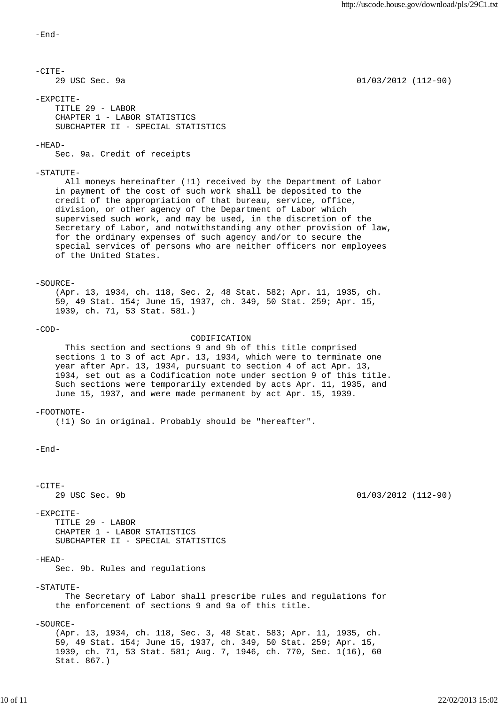```
-End-
```
 $-CTT$ F- 29 USC Sec. 9a 01/03/2012 (112-90) -EXPCITE- TITLE 29 - LABOR CHAPTER 1 - LABOR STATISTICS SUBCHAPTER II - SPECIAL STATISTICS  $-HERAD-$  Sec. 9a. Credit of receipts  $-STATUTR-$  All moneys hereinafter (!1) received by the Department of Labor in payment of the cost of such work shall be deposited to the credit of the appropriation of that bureau, service, office, division, or other agency of the Department of Labor which supervised such work, and may be used, in the discretion of the Secretary of Labor, and notwithstanding any other provision of law, for the ordinary expenses of such agency and/or to secure the special services of persons who are neither officers nor employees of the United States.  $-SOURE-$  (Apr. 13, 1934, ch. 118, Sec. 2, 48 Stat. 582; Apr. 11, 1935, ch. 59, 49 Stat. 154; June 15, 1937, ch. 349, 50 Stat. 259; Apr. 15, 1939, ch. 71, 53 Stat. 581.)  $-COD-$  CODIFICATION This section and sections 9 and 9b of this title comprised sections 1 to 3 of act Apr. 13, 1934, which were to terminate one year after Apr. 13, 1934, pursuant to section 4 of act Apr. 13, 1934, set out as a Codification note under section 9 of this title. Such sections were temporarily extended by acts Apr. 11, 1935, and June 15, 1937, and were made permanent by act Apr. 15, 1939.  $-FOOTNOTE-$  (!1) So in original. Probably should be "hereafter".  $-$ End $-CTTF-$  29 USC Sec. 9b 01/03/2012 (112-90) -EXPCITE- TITLE 29 - LABOR CHAPTER 1 - LABOR STATISTICS SUBCHAPTER II - SPECIAL STATISTICS  $-HEAD-$  Sec. 9b. Rules and regulations -STATUTE- The Secretary of Labor shall prescribe rules and regulations for the enforcement of sections 9 and 9a of this title. -SOURCE- (Apr. 13, 1934, ch. 118, Sec. 3, 48 Stat. 583; Apr. 11, 1935, ch. 59, 49 Stat. 154; June 15, 1937, ch. 349, 50 Stat. 259; Apr. 15, 1939, ch. 71, 53 Stat. 581; Aug. 7, 1946, ch. 770, Sec. 1(16), 60 Stat. 867.)